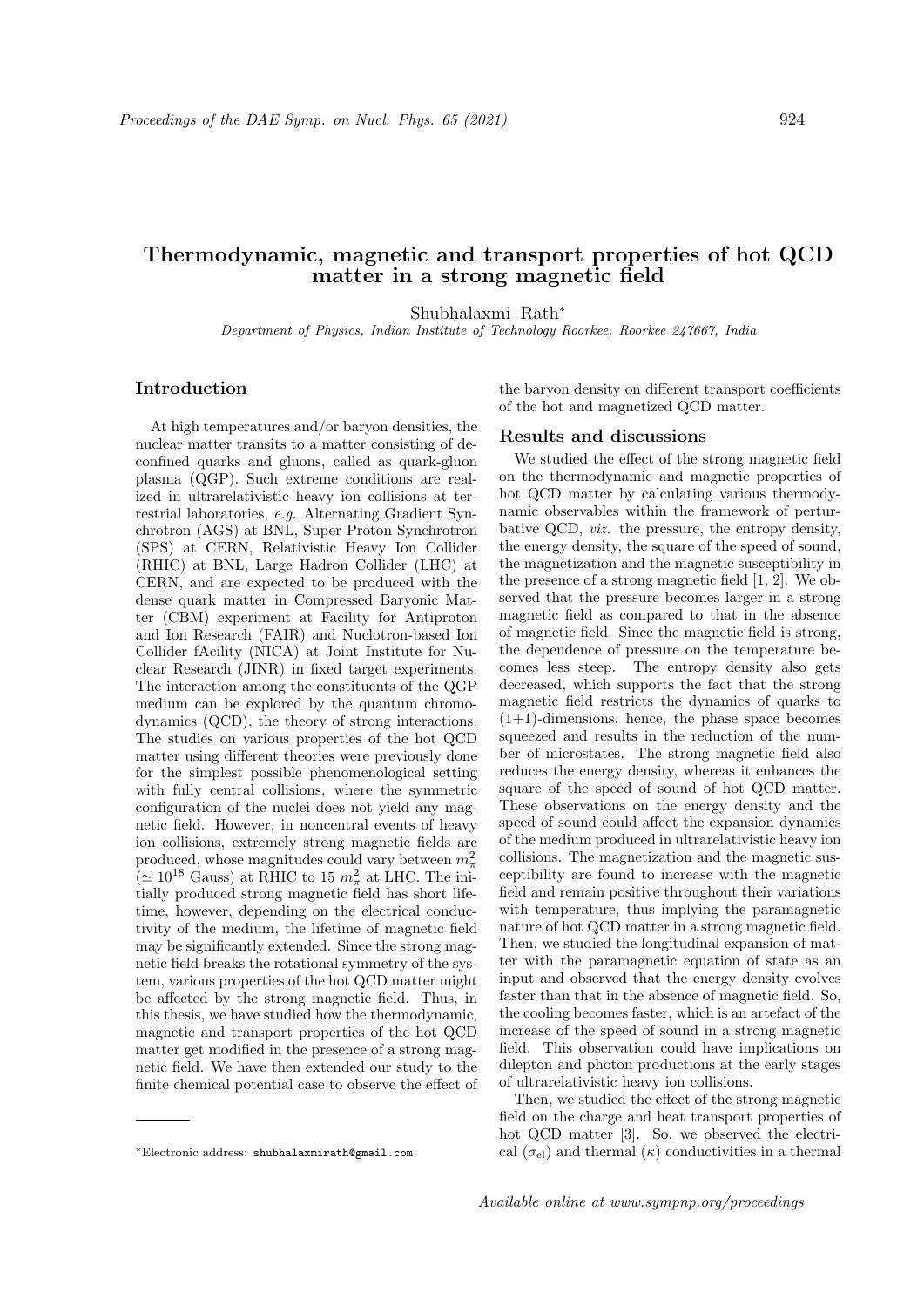# Thermodynamic, magnetic and transport properties of hot QCD matter in a strong magnetic field

Shubhalaxmi Rath<sup>∗</sup>

Department of Physics, Indian Institute of Technology Roorkee, Roorkee 247667, India

## Introduction

At high temperatures and/or baryon densities, the nuclear matter transits to a matter consisting of deconfined quarks and gluons, called as quark-gluon plasma (QGP). Such extreme conditions are realized in ultrarelativistic heavy ion collisions at terrestrial laboratories, e.g. Alternating Gradient Synchrotron (AGS) at BNL, Super Proton Synchrotron (SPS) at CERN, Relativistic Heavy Ion Collider (RHIC) at BNL, Large Hadron Collider (LHC) at CERN, and are expected to be produced with the dense quark matter in Compressed Baryonic Matter (CBM) experiment at Facility for Antiproton and Ion Research (FAIR) and Nuclotron-based Ion Collider fAcility (NICA) at Joint Institute for Nuclear Research (JINR) in fixed target experiments. The interaction among the constituents of the QGP medium can be explored by the quantum chromodynamics (QCD), the theory of strong interactions. The studies on various properties of the hot QCD matter using different theories were previously done for the simplest possible phenomenological setting with fully central collisions, where the symmetric configuration of the nuclei does not yield any magnetic field. However, in noncentral events of heavy ion collisions, extremely strong magnetic fields are produced, whose magnitudes could vary between  $m_{\pi}^2$  $(\simeq 10^{18}$  Gauss) at RHIC to 15  $m_{\pi}^2$  at LHC. The initially produced strong magnetic field has short lifetime, however, depending on the electrical conductivity of the medium, the lifetime of magnetic field may be significantly extended. Since the strong magnetic field breaks the rotational symmetry of the system, various properties of the hot QCD matter might be affected by the strong magnetic field. Thus, in this thesis, we have studied how the thermodynamic, magnetic and transport properties of the hot QCD matter get modified in the presence of a strong magnetic field. We have then extended our study to the finite chemical potential case to observe the effect of the baryon density on different transport coefficients of the hot and magnetized QCD matter.

### Results and discussions

We studied the effect of the strong magnetic field on the thermodynamic and magnetic properties of hot QCD matter by calculating various thermodynamic observables within the framework of perturbative QCD, viz. the pressure, the entropy density, the energy density, the square of the speed of sound, the magnetization and the magnetic susceptibility in the presence of a strong magnetic field [1, 2]. We observed that the pressure becomes larger in a strong magnetic field as compared to that in the absence of magnetic field. Since the magnetic field is strong, the dependence of pressure on the temperature becomes less steep. The entropy density also gets decreased, which supports the fact that the strong magnetic field restricts the dynamics of quarks to  $(1+1)$ -dimensions, hence, the phase space becomes squeezed and results in the reduction of the number of microstates. The strong magnetic field also reduces the energy density, whereas it enhances the square of the speed of sound of hot QCD matter. These observations on the energy density and the speed of sound could affect the expansion dynamics of the medium produced in ultrarelativistic heavy ion collisions. The magnetization and the magnetic susceptibility are found to increase with the magnetic field and remain positive throughout their variations with temperature, thus implying the paramagnetic nature of hot QCD matter in a strong magnetic field. Then, we studied the longitudinal expansion of matter with the paramagnetic equation of state as an input and observed that the energy density evolves faster than that in the absence of magnetic field. So, the cooling becomes faster, which is an artefact of the increase of the speed of sound in a strong magnetic field. This observation could have implications on dilepton and photon productions at the early stages of ultrarelativistic heavy ion collisions.

Then, we studied the effect of the strong magnetic field on the charge and heat transport properties of hot QCD matter [3]. So, we observed the electrical  $(\sigma_{el})$  and thermal  $(\kappa)$  conductivities in a thermal

<sup>∗</sup>Electronic address: shubhalaxmirath@gmail.com